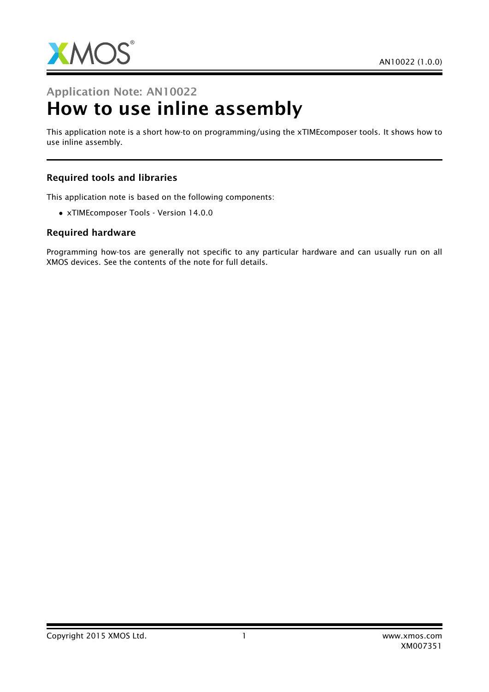

# Application Note: AN10022 How to use inline assembly

This application note is a short how-to on programming/using the xTIMEcomposer tools. It shows how to use inline assembly.

#### Required tools and libraries

This application note is based on the following components:

• xTIMEcomposer Tools - Version 14.0.0

#### Required hardware

Programming how-tos are generally not specific to any particular hardware and can usually run on all XMOS devices. See the contents of the note for full details.